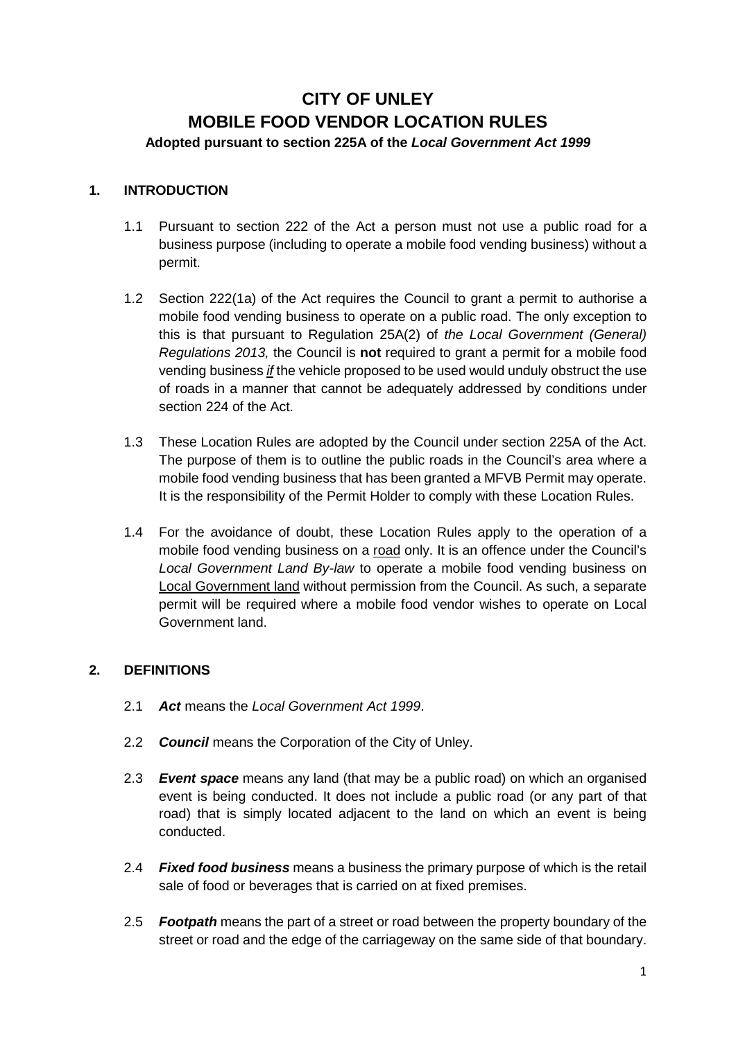# **CITY OF UNLEY MOBILE FOOD VENDOR LOCATION RULES Adopted pursuant to section 225A of the** *Local Government Act 1999*

#### **1. INTRODUCTION**

- 1.1 Pursuant to section 222 of the Act a person must not use a public road for a business purpose (including to operate a mobile food vending business) without a permit.
- 1.2 Section 222(1a) of the Act requires the Council to grant a permit to authorise a mobile food vending business to operate on a public road. The only exception to this is that pursuant to Regulation 25A(2) of *the Local Government (General) Regulations 2013,* the Council is **not** required to grant a permit for a mobile food vending business *if* the vehicle proposed to be used would unduly obstruct the use of roads in a manner that cannot be adequately addressed by conditions under section 224 of the Act.
- 1.3 These Location Rules are adopted by the Council under section 225A of the Act. The purpose of them is to outline the public roads in the Council's area where a mobile food vending business that has been granted a MFVB Permit may operate. It is the responsibility of the Permit Holder to comply with these Location Rules.
- 1.4 For the avoidance of doubt, these Location Rules apply to the operation of a mobile food vending business on a road only. It is an offence under the Council's *Local Government Land By-law* to operate a mobile food vending business on Local Government land without permission from the Council. As such, a separate permit will be required where a mobile food vendor wishes to operate on Local Government land.

## **2. DEFINITIONS**

- 2.1 *Act* means the *Local Government Act 1999*.
- 2.2 *Council* means the Corporation of the City of Unley.
- 2.3 *Event space* means any land (that may be a public road) on which an organised event is being conducted. It does not include a public road (or any part of that road) that is simply located adjacent to the land on which an event is being conducted.
- 2.4 *Fixed food business* means a business the primary purpose of which is the retail sale of food or beverages that is carried on at fixed premises.
- 2.5 *Footpath* means the part of a street or road between the property boundary of the street or road and the edge of the carriageway on the same side of that boundary.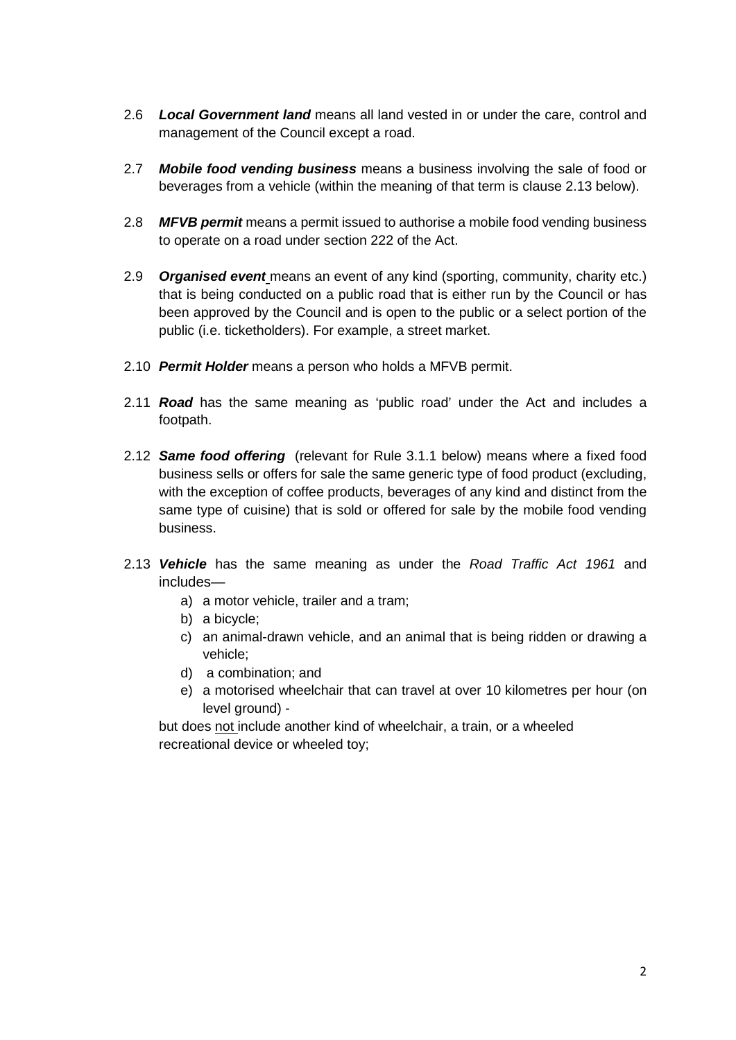- 2.6 *Local Government land* means all land vested in or under the care, control and management of the Council except a road.
- 2.7 *Mobile food vending business* means a business involving the sale of food or beverages from a vehicle (within the meaning of that term is clause 2.13 below).
- 2.8 *MFVB permit* means a permit issued to authorise a mobile food vending business to operate on a road under section 222 of the Act.
- 2.9 *Organised event* means an event of any kind (sporting, community, charity etc.) that is being conducted on a public road that is either run by the Council or has been approved by the Council and is open to the public or a select portion of the public (i.e. ticketholders). For example, a street market.
- 2.10 *Permit Holder* means a person who holds a MFVB permit.
- 2.11 *Road* has the same meaning as 'public road' under the Act and includes a footpath.
- 2.12 *Same food offering* (relevant for Rule 3.1.1 below) means where a fixed food business sells or offers for sale the same generic type of food product (excluding, with the exception of coffee products, beverages of any kind and distinct from the same type of cuisine) that is sold or offered for sale by the mobile food vending business.
- 2.13 *Vehicle* has the same meaning as under the *Road Traffic Act 1961* and includes
	- a) a motor vehicle, trailer and a tram;
	- b) a bicycle;
	- c) an animal-drawn vehicle, and an animal that is being ridden or drawing a vehicle;
	- d) a combination; and
	- e) a motorised wheelchair that can travel at over 10 kilometres per hour (on level ground) -

but does not include another kind of wheelchair, a train, or a wheeled recreational device or wheeled toy;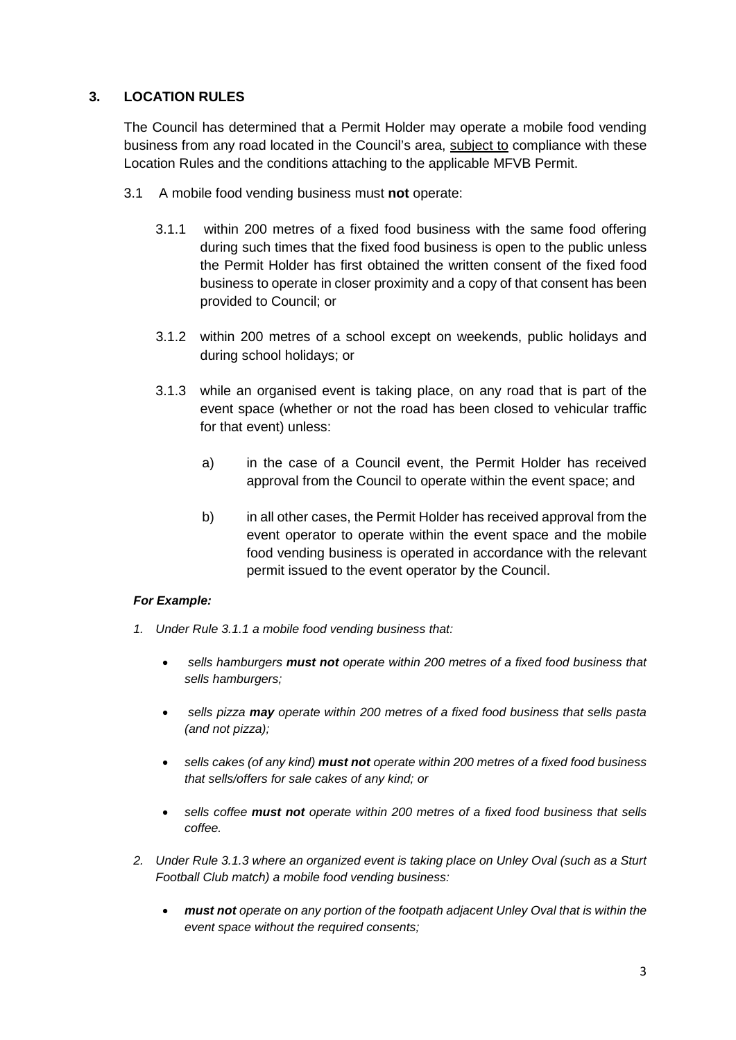# **3. LOCATION RULES**

The Council has determined that a Permit Holder may operate a mobile food vending business from any road located in the Council's area, subject to compliance with these Location Rules and the conditions attaching to the applicable MFVB Permit.

- 3.1 A mobile food vending business must **not** operate:
	- 3.1.1 within 200 metres of a fixed food business with the same food offering during such times that the fixed food business is open to the public unless the Permit Holder has first obtained the written consent of the fixed food business to operate in closer proximity and a copy of that consent has been provided to Council; or
	- 3.1.2 within 200 metres of a school except on weekends, public holidays and during school holidays; or
	- 3.1.3 while an organised event is taking place, on any road that is part of the event space (whether or not the road has been closed to vehicular traffic for that event) unless:
		- a) in the case of a Council event, the Permit Holder has received approval from the Council to operate within the event space; and
		- b) in all other cases, the Permit Holder has received approval from the event operator to operate within the event space and the mobile food vending business is operated in accordance with the relevant permit issued to the event operator by the Council.

#### *For Example:*

- *1. Under Rule 3.1.1 a mobile food vending business that:*
	- *sells hamburgers must not operate within 200 metres of a fixed food business that sells hamburgers;*
	- *sells pizza may operate within 200 metres of a fixed food business that sells pasta (and not pizza);*
	- *sells cakes (of any kind) must not operate within 200 metres of a fixed food business that sells/offers for sale cakes of any kind; or*
	- *sells coffee must not operate within 200 metres of a fixed food business that sells coffee.*
- *2. Under Rule 3.1.3 where an organized event is taking place on Unley Oval (such as a Sturt Football Club match) a mobile food vending business:*
	- *must not operate on any portion of the footpath adjacent Unley Oval that is within the event space without the required consents;*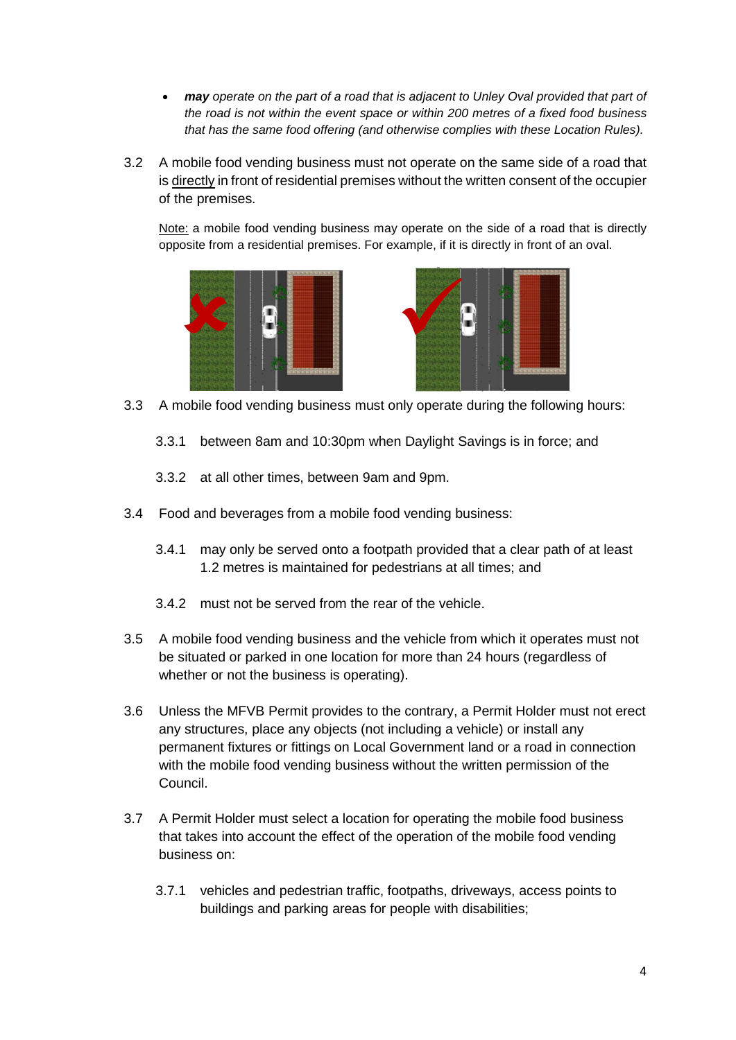- *may operate on the part of a road that is adjacent to Unley Oval provided that part of the road is not within the event space or within 200 metres of a fixed food business that has the same food offering (and otherwise complies with these Location Rules).*
- 3.2 A mobile food vending business must not operate on the same side of a road that is directly in front of residential premises without the written consent of the occupier of the premises.

Note: a mobile food vending business may operate on the side of a road that is directly opposite from a residential premises. For example, if it is directly in front of an oval.





- 3.3 A mobile food vending business must only operate during the following hours:
	- 3.3.1 between 8am and 10:30pm when Daylight Savings is in force; and
	- 3.3.2 at all other times, between 9am and 9pm.
- 3.4 Food and beverages from a mobile food vending business:
	- 3.4.1 may only be served onto a footpath provided that a clear path of at least 1.2 metres is maintained for pedestrians at all times; and
	- 3.4.2 must not be served from the rear of the vehicle.
- 3.5 A mobile food vending business and the vehicle from which it operates must not be situated or parked in one location for more than 24 hours (regardless of whether or not the business is operating).
- 3.6 Unless the MFVB Permit provides to the contrary, a Permit Holder must not erect any structures, place any objects (not including a vehicle) or install any permanent fixtures or fittings on Local Government land or a road in connection with the mobile food vending business without the written permission of the Council.
- 3.7 A Permit Holder must select a location for operating the mobile food business that takes into account the effect of the operation of the mobile food vending business on:
	- 3.7.1 vehicles and pedestrian traffic, footpaths, driveways, access points to buildings and parking areas for people with disabilities;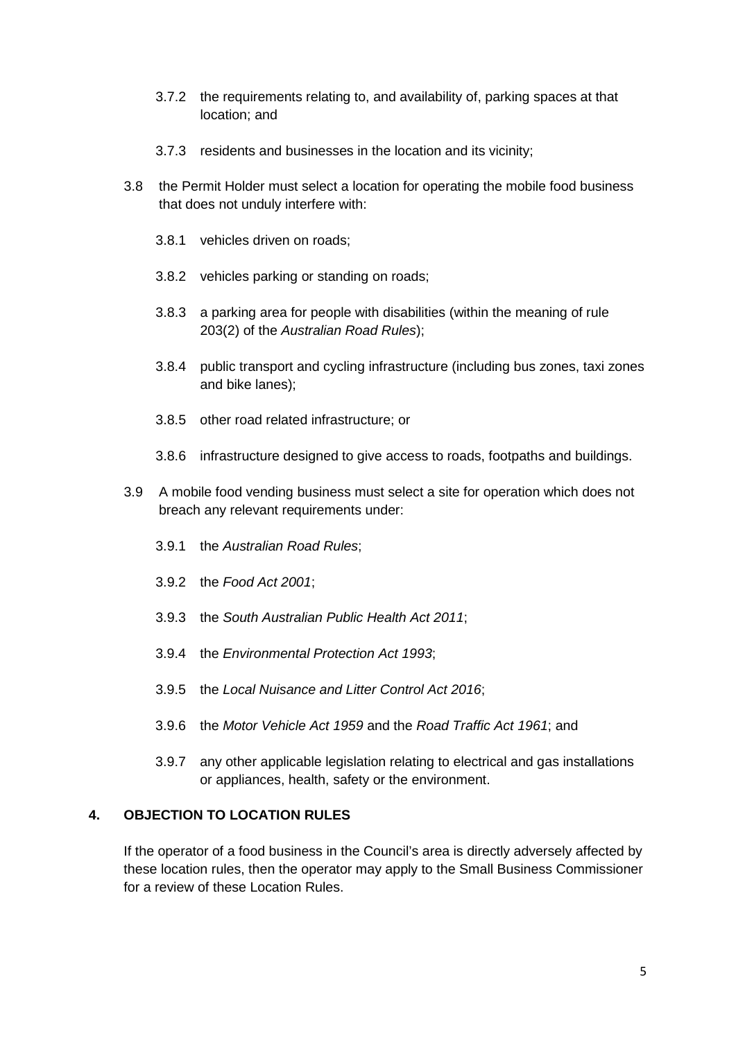- 3.7.2 the requirements relating to, and availability of, parking spaces at that location; and
- 3.7.3 residents and businesses in the location and its vicinity;
- 3.8 the Permit Holder must select a location for operating the mobile food business that does not unduly interfere with:
	- 3.8.1 vehicles driven on roads;
	- 3.8.2 vehicles parking or standing on roads;
	- 3.8.3 a parking area for people with disabilities (within the meaning of rule 203(2) of the *Australian Road Rules*);
	- 3.8.4 public transport and cycling infrastructure (including bus zones, taxi zones and bike lanes);
	- 3.8.5 other road related infrastructure; or
	- 3.8.6 infrastructure designed to give access to roads, footpaths and buildings.
- 3.9 A mobile food vending business must select a site for operation which does not breach any relevant requirements under:
	- 3.9.1 the *Australian Road Rules*;
	- 3.9.2 the *Food Act 2001*;
	- 3.9.3 the *South Australian Public Health Act 2011*;
	- 3.9.4 the *Environmental Protection Act 1993*;
	- 3.9.5 the *Local Nuisance and Litter Control Act 2016*;
	- 3.9.6 the *Motor Vehicle Act 1959* and the *Road Traffic Act 1961*; and
	- 3.9.7 any other applicable legislation relating to electrical and gas installations or appliances, health, safety or the environment.

## **4. OBJECTION TO LOCATION RULES**

If the operator of a food business in the Council's area is directly adversely affected by these location rules, then the operator may apply to the Small Business Commissioner for a review of these Location Rules.